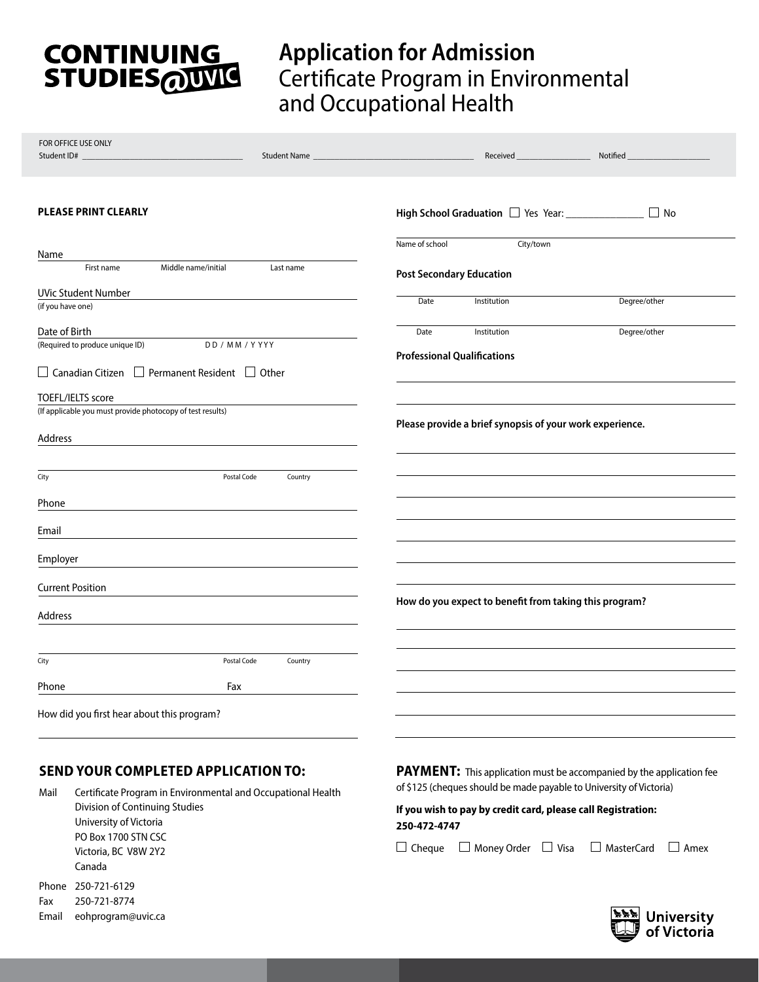## **CONTINUING STUDIES**

### **Application for Admission** Certificate Program in Environmental and Occupational Health

| FOR OFFICE USE ONLY<br><b>Student Name</b><br>Student ID#                                         | Notified<br>Received                                                      |
|---------------------------------------------------------------------------------------------------|---------------------------------------------------------------------------|
| <b>PLEASE PRINT CLEARLY</b>                                                                       | High School Graduation □ Yes Year: _____________ □ No                     |
| Name<br>Middle name/initial<br>First name<br>Last name                                            | Name of school<br>City/town<br><b>Post Secondary Education</b>            |
| <b>UVic Student Number</b><br>(if you have one)                                                   | Degree/other<br>Date<br>Institution                                       |
| Date of Birth<br>(Required to produce unique ID)<br>DD / MM / Y YYY                               | Degree/other<br>Date<br>Institution<br><b>Professional Qualifications</b> |
| $\Box$ Canadian Citizen $\Box$ Permanent Resident $\Box$ Other                                    |                                                                           |
| <b>TOEFL/IELTS score</b><br>(If applicable you must provide photocopy of test results)<br>Address | Please provide a brief synopsis of your work experience.                  |
| City<br>Postal Code<br>Country                                                                    |                                                                           |
| Phone<br>Email                                                                                    |                                                                           |
| Employer                                                                                          |                                                                           |
| <b>Current Position</b><br>Address                                                                | How do you expect to benefit from taking this program?                    |
|                                                                                                   |                                                                           |
| City<br>Postal Code<br>Country                                                                    |                                                                           |
| Fax<br>Phone                                                                                      |                                                                           |
| How did you first hear about this program?                                                        |                                                                           |
|                                                                                                   |                                                                           |

#### **SEND YOUR COMPLETED APPLICATION TO:**

| Mail | Certificate Program in Environmental and Occupational Health |
|------|--------------------------------------------------------------|
|      | Division of Continuing Studies                               |
|      | University of Victoria                                       |
|      | PO Box 1700 STN CSC                                          |
|      | Victoria, BC V8W 2Y2                                         |
|      | Canada                                                       |
|      | Phone 250-721-6129                                           |
| Fax  | 250-721-8774                                                 |

**PAYMENT:** This application must be accompanied by the application fee of \$125 (cheques should be made payable to University of Victoria)

**If you wish to pay by credit card, please call Registration: 250-472-4747**

 $\Box$  Cheque  $\Box$  Money Order  $\Box$  Visa  $\Box$  MasterCard  $\Box$  Amex



Email eohprogram@uvic.ca